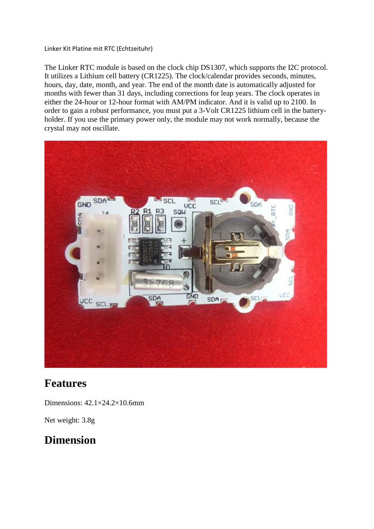#### Linker Kit Platine mit RTC (Echtzeituhr)

The Linker RTC module is based on the clock chip DS1307, which supports the I2C protocol. It utilizes a Lithium cell battery (CR1225). The clock/calendar provides seconds, minutes, hours, day, date, month, and year. The end of the month date is automatically adjusted for months with fewer than 31 days, including corrections for leap years. The clock operates in either the 24-hour or 12-hour format with AM/PM indicator. And it is valid up to 2100. In order to gain a robust performance, you must put a 3-Volt CR1225 lithium cell in the batteryholder. If you use the primary power only, the module may not work normally, because the crystal may not oscillate.



### **Features**

Dimensions:  $42.1 \times 24.2 \times 10.6$ mm

Net weight: 3.8g

## **Dimension**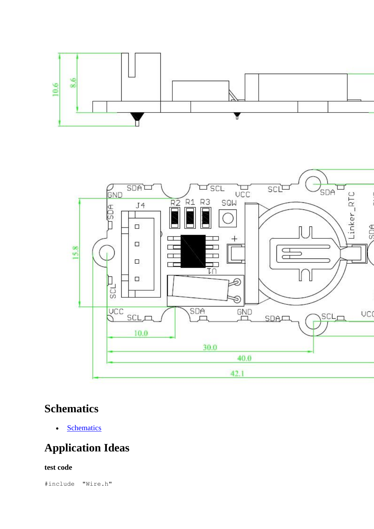



## **Schematics**

• [Schematics](https://s3.amazonaws.com/linksprite/LinkerKit/RTC.pdf)

# **Application Ideas**

#### **test code**

#include "Wire.h"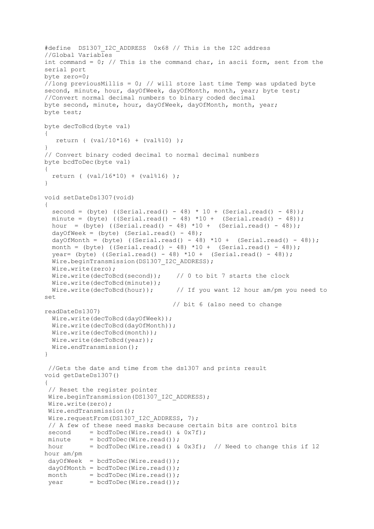```
#define DS1307_I2C_ADDRESS 0x68 // This is the I2C address
//Global Variables 
int command = 0; // This is the command char, in ascii form, sent from the
serial port 
byte zero=0;
//long previousMillis = 0; // will store last time Temp was updated byte
second, minute, hour, dayOfWeek, dayOfMonth, month, year; byte test;
//Convert normal decimal numbers to binary coded decimal
byte second, minute, hour, dayOfWeek, dayOfMonth, month, year;
byte test;
byte decToBcd(byte val)
{
   return ( (va1/10*16) + (val*10) );
}
// Convert binary coded decimal to normal decimal numbers
byte bcdToDec(byte val)
{
  return ( \{val/16*10\} + \{val\}_{6) ;
}
void setDateDs1307(void)
{
  second = (byte) ((Serial.read() - 48) * 10 + (Serial.read() - 48));
  minute = (byte) ((Serial.read() - 48) *10 + (Serial.read() - 48));
  hour = (byte) ((Serial.read() - 48) *10 + (Serial.read() - 48));
  dayOfWeek = (byte) (Serial.read() - 48);
  dayOfMonth = (\text{byte}) ((Serial.read() - 48) *10 + (Serial.read() - 48));
  month = (byte) ((Serial.read() - 48) *10 + (Serial.read() - 48));
  year= (byte) ((Serial.read() - 48) *10 + (Serial.read() - 48));
  Wire.beginTransmission(DS1307_I2C_ADDRESS);
   Wire.write(zero);
  Wire.write(decToBcd(second)); \frac{1}{2} / 0 to bit 7 starts the clock
   Wire.write(decToBcd(minute));
  Wire.write(decToBcd(hour)); // If you want 12 hour am/pm you need to
set
                                   // bit 6 (also need to change 
readDateDs1307)
   Wire.write(decToBcd(dayOfWeek));
   Wire.write(decToBcd(dayOfMonth));
  Wire.write(decToBcd(month));
   Wire.write(decToBcd(year));
  Wire.endTransmission();
}
 //Gets the date and time from the ds1307 and prints result 
void getDateDs1307()
{
 // Reset the register pointer
 Wire.beginTransmission(DS1307_I2C_ADDRESS);
 Wire.write(zero);
 Wire.endTransmission();
 Wire.requestFrom(DS1307_I2C_ADDRESS, 7);
 // A few of these need masks because certain bits are control bits
 second = bcdToDec(Wire.read() & 0x7f);minute = bcdToDec(Wire.read());
 hour = bcdToDec(Wire.read() & 0x3f; // Need to change this if 12
hour am/pm
 davOfWeek = bcdToDec(Wire.read());
 dayOfMonth = bcdToDec(Wire.read());
 month = bcdToDec(Wire.read());
 year = bcdToDec(Wire.read());
```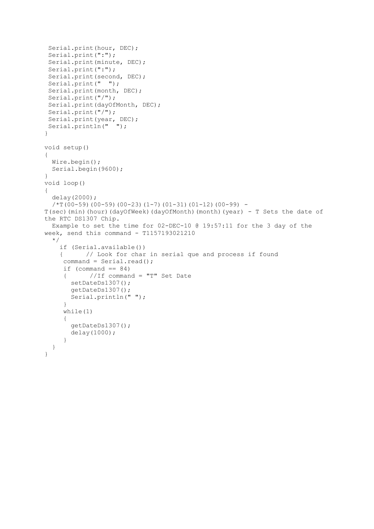```
Serial.print(hour, DEC);
 Serial.print(":");
 Serial.print(minute, DEC);
 Serial.print(":");
 Serial.print(second, DEC);
 Serial.print(" ");
 Serial.print(month, DEC);
 Serial.print("/");
 Serial.print(dayOfMonth, DEC);
 Serial.print("/");
 Serial.print(year, DEC);
 Serial.println(" ");
}
void setup()
{
   Wire.begin();
   Serial.begin(9600);
}
void loop()
{
   delay(2000);
  /*T(00-59)(00-59)(00-23)(1-7)(01-31)(01-12)(00-99) -T(sec)(min)(hour)(dayOfWeek)(dayOfMonth)(month)(year) - T Sets the date of
the RTC DS1307 Chip. 
   Example to set the time for 02-DEC-10 @ 19:57:11 for the 3 day of the 
week, send this command - T1157193021210
   */
     if (Serial.available())
     { // Look for char in serial que and process if found
    command = Serial.read();
     if (command == 84)
      { //If command = "T" Set Date
      setDateDs1307();
       getDateDs1307();
        Serial.println(" ");
      }
      while(1)
      {
        getDateDs1307();
        delay(1000);
      }
   }
}
```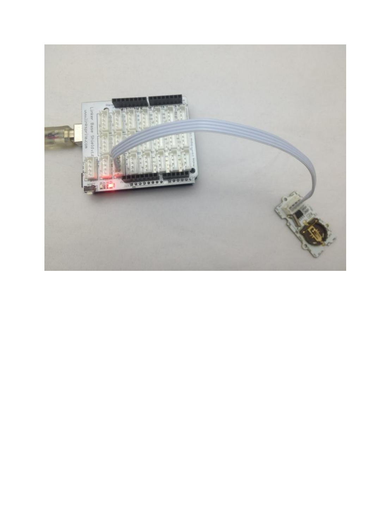